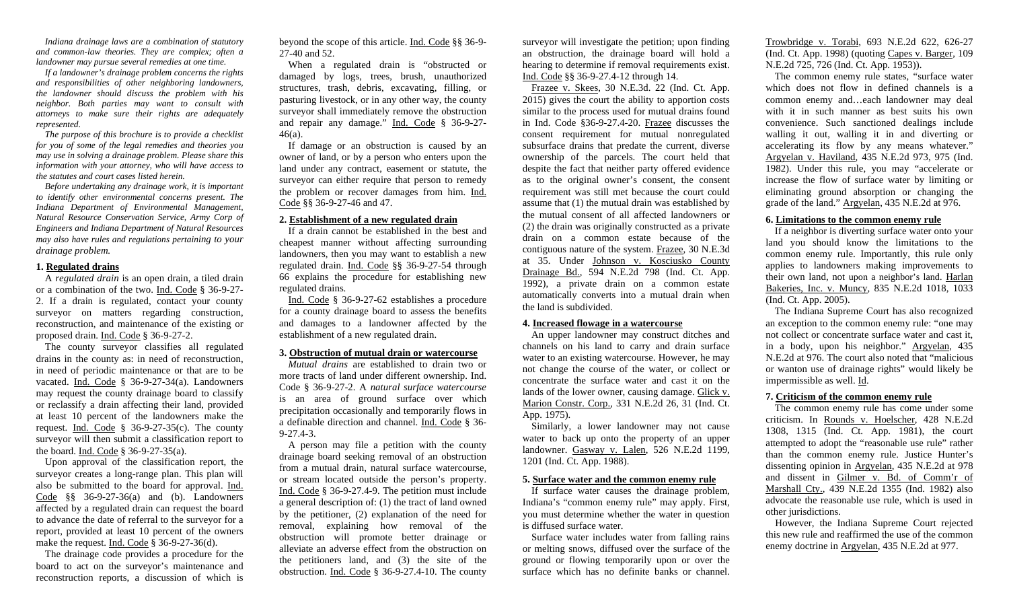*Indiana drainage laws are a combination of statutory and common-law theories. They are complex; often a landowner may pursue several remedies at one time.*

*If a landowner's drainage problem concerns the rights and responsibilities of other neighboring landowners, the landowner should discuss the problem with his neighbor. Both parties may want to consult with attorneys to make sure their rights are adequately represented.*

*The purpose of this brochure is to provide a checklist for you of some of the legal remedies and theories you may use in solving a drainage problem. Please share this information with your attorney, who will have access to the statutes and court cases listed herein.*

*Before undertaking any drainage work, it is important to identify other environmental concerns present. The Indiana Department of Environmental Management, Natural Resource Conservation Service, Army Corp of Engineers and Indiana Department of Natural Resources may also have rules and regulations pertaining to your drainage problem.* 

## **1. Regulated drains**

A *regulated drain* is an open drain, a tiled drain or a combination of the two. Ind. Code § 36-9-27- 2. If a drain is regulated, contact your county surveyor on matters regarding construction, reconstruction, and maintenance of the existing or proposed drain. Ind. Code § 36-9-27-2.

The county surveyor classifies all regulated drains in the county as: in need of reconstruction, in need of periodic maintenance or that are to be vacated. Ind. Code § 36-9-27-34(a). Landowners may request the county drainage board to classify or reclassify a drain affecting their land, provided at least 10 percent of the landowners make the request. Ind. Code  $\frac{8}{9}$  36-9-27-35(c). The county surveyor will then submit a classification report to the board. Ind. Code § 36-9-27-35(a).

Upon approval of the classification report, the surveyor creates a long-range plan. This plan will also be submitted to the board for approval. Ind. Code §§ 36-9-27-36(a) and (b). Landowners affected by a regulated drain can request the board to advance the date of referral to the surveyor for a report, provided at least 10 percent of the owners make the request. Ind. Code § 36-9-27-36(d).

The drainage code provides a procedure for the board to act on the surveyor's maintenance and reconstruction reports, a discussion of which is

beyond the scope of this article. Ind. Code §§ 36-9- 27-40 and 52.

When a regulated drain is "obstructed or damaged by logs, trees, brush, unauthorized structures, trash, debris, excavating, filling, or pasturing livestock, or in any other way, the county surveyor shall immediately remove the obstruction and repair any damage." Ind. Code § 36-9-27- 46(a).

If damage or an obstruction is caused by an owner of land, or by a person who enters upon the land under any contract, easement or statute, the surveyor can either require that person to remedy the problem or recover damages from him. Ind. Code §§ 36-9-27-46 and 47.

# **2. Establishment of a new regulated drain**

If a drain cannot be established in the best and cheapest manner without affecting surrounding landowners, then you may want to establish a new regulated drain. Ind. Code §§ 36-9-27-54 through 66 explains the procedure for establishing new regulated drains.

Ind. Code § 36-9-27-62 establishes a procedure for a county drainage board to assess the benefits and damages to a landowner affected by the establishment of a new regulated drain.

#### **3. Obstruction of mutual drain or watercourse**

*Mutual drains* are established to drain two or more tracts of land under different ownership. Ind. Code § 36-9-27-2. A *natural surface watercourse* is an area of ground surface over which precipitation occasionally and temporarily flows in a definable direction and channel. Ind. Code § 36- 9-27.4-3.

A person may file a petition with the county drainage board seeking removal of an obstruction from a mutual drain, natural surface watercourse, or stream located outside the person's property. Ind. Code § 36-9-27.4-9. The petition must include a general description of: (1) the tract of land owned by the petitioner, (2) explanation of the need for removal, explaining how removal of the obstruction will promote better drainage or alleviate an adverse effect from the obstruction on the petitioners land, and (3) the site of the obstruction. Ind. Code § 36-9-27.4-10. The county

surveyor will investigate the petition; upon finding an obstruction, the drainage board will hold a hearing to determine if removal requirements exist. Ind. Code §§ 36-9-27.4-12 through 14.

Frazee v. Skees, 30 N.E.3d. 22 (Ind. Ct. App. 2015) gives the court the ability to apportion costs similar to the process used for mutual drains found in Ind. Code §36-9-27.4-20. Frazee discusses the consent requirement for mutual nonregulated subsurface drains that predate the current, diverse ownership of the parcels. The court held that despite the fact that neither party offered evidence as to the original owner's consent, the consent requirement was still met because the court could assume that (1) the mutual drain was established by the mutual consent of all affected landowners or (2) the drain was originally constructed as a private drain on a common estate because of the contiguous nature of the system. Frazee, 30 N.E.3d at 35. Under Johnson v. Kosciusko County Drainage Bd., 594 N.E.2d 798 (Ind. Ct. App. 1992), a private drain on a common estate automatically converts into a mutual drain when the land is subdivided.

### **4. Increased flowage in a watercourse**

An upper landowner may construct ditches and channels on his land to carry and drain surface water to an existing watercourse. However, he may not change the course of the water, or collect or concentrate the surface water and cast it on the lands of the lower owner, causing damage. Glick v. Marion Constr. Corp.*,* 331 N.E.2d 26, 31 (Ind. Ct. App. 1975).

Similarly, a lower landowner may not cause water to back up onto the property of an upper landowner. Gasway v. Lalen, 526 N.E.2d 1199, 1201 (Ind. Ct. App. 1988).

### **5. Surface water and the common enemy rule**

If surface water causes the drainage problem, Indiana's "common enemy rule" may apply. First, you must determine whether the water in question is diffused surface water.

Surface water includes water from falling rains or melting snows, diffused over the surface of the ground or flowing temporarily upon or over the surface which has no definite banks or channel.

Trowbridge v. Torabi, 693 N.E.2d 622, 626-27 (Ind. Ct. App. 1998) (quoting Capes v. Barger, 109 N.E.2d 725, 726 (Ind. Ct. App. 1953)).

The common enemy rule states, "surface water which does not flow in defined channels is a common enemy and…each landowner may deal with it in such manner as best suits his own convenience. Such sanctioned dealings include walling it out, walling it in and diverting or accelerating its flow by any means whatever." Argyelan v. Haviland, 435 N.E.2d 973, 975 (Ind. 1982). Under this rule, you may "accelerate or increase the flow of surface water by limiting or eliminating ground absorption or changing the grade of the land." Argyelan, 435 N.E.2d at 976.

# **6. Limitations to the common enemy rule**

If a neighbor is diverting surface water onto your land you should know the limitations to the common enemy rule. Importantly, this rule only applies to landowners making improvements to their own land, not upon a neighbor's land. Harlan Bakeries, Inc. v. Muncy, 835 N.E.2d 1018, 1033 (Ind. Ct. App. 2005).

The Indiana Supreme Court has also recognized an exception to the common enemy rule: "one may not collect or concentrate surface water and cast it, in a body, upon his neighbor." Argyelan, 435 N.E.2d at 976. The court also noted that "malicious or wanton use of drainage rights" would likely be impermissible as well. Id.

# **7. Criticism of the common enemy rule**

The common enemy rule has come under some criticism. In Rounds v. Hoelscher*,* 428 N.E.2d 1308, 1315 (Ind. Ct. App. 1981), the court attempted to adopt the "reasonable use rule" rather than the common enemy rule. Justice Hunter's dissenting opinion in Argyelan, 435 N.E.2d at 978 and dissent in Gilmer v. Bd. of Comm'r of Marshall Cty., 439 N.E.2d 1355 (Ind. 1982) also advocate the reasonable use rule, which is used in other jurisdictions.

However, the Indiana Supreme Court rejected this new rule and reaffirmed the use of the common enemy doctrine in Argyelan, 435 N.E.2d at 977.